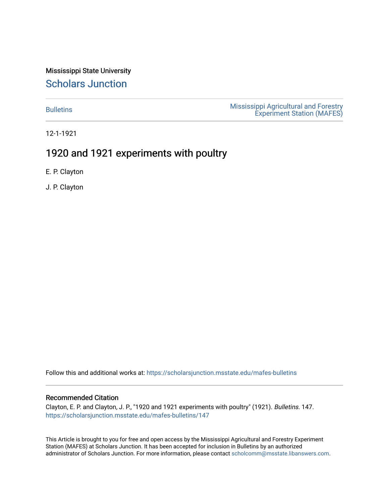Mississippi State University [Scholars Junction](https://scholarsjunction.msstate.edu/) 

[Bulletins](https://scholarsjunction.msstate.edu/mafes-bulletins) **Mississippi Agricultural and Forestry** [Experiment Station \(MAFES\)](https://scholarsjunction.msstate.edu/mafes) 

12-1-1921

### 1920 and 1921 experiments with poultry

E. P. Clayton

J. P. Clayton

Follow this and additional works at: [https://scholarsjunction.msstate.edu/mafes-bulletins](https://scholarsjunction.msstate.edu/mafes-bulletins?utm_source=scholarsjunction.msstate.edu%2Fmafes-bulletins%2F147&utm_medium=PDF&utm_campaign=PDFCoverPages)

#### Recommended Citation

Clayton, E. P. and Clayton, J. P., "1920 and 1921 experiments with poultry" (1921). Bulletins. 147. [https://scholarsjunction.msstate.edu/mafes-bulletins/147](https://scholarsjunction.msstate.edu/mafes-bulletins/147?utm_source=scholarsjunction.msstate.edu%2Fmafes-bulletins%2F147&utm_medium=PDF&utm_campaign=PDFCoverPages) 

This Article is brought to you for free and open access by the Mississippi Agricultural and Forestry Experiment Station (MAFES) at Scholars Junction. It has been accepted for inclusion in Bulletins by an authorized administrator of Scholars Junction. For more information, please contact [scholcomm@msstate.libanswers.com](mailto:scholcomm@msstate.libanswers.com).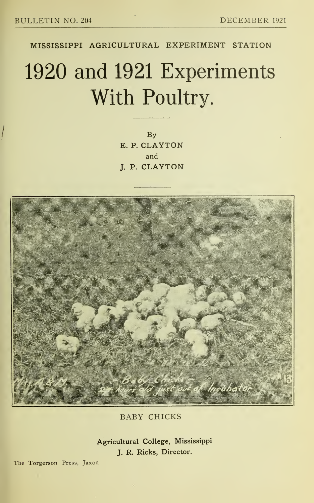MISSISSIPPI AGRICULTURAL EXPERIMENT STATION

# 1920 and 1921 Experiments With Poultry.

By E. P. CLAYTON and J. P. CLAYTON



BABY CHICKS

Agricultural College, Mississippi J. R. Ricks, Director.

The Torgerson Press, Jaxon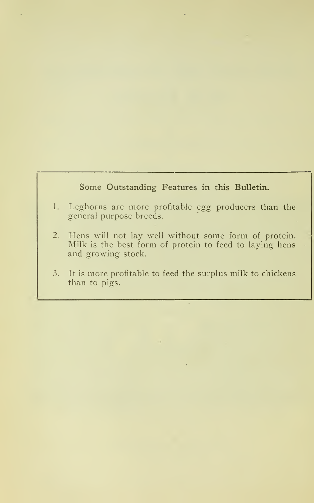#### Some Outstanding Features in this Bulletin.

- 1. Leghorns are more profitable egg producers than the general purpose breeds.
- 2. Hens will not lay well without some form of protein. Milk is the best form of protein to feed to laying hens and growing stock.
- 3. It is more profitable to feed the surplus milk to chickens than to pigs.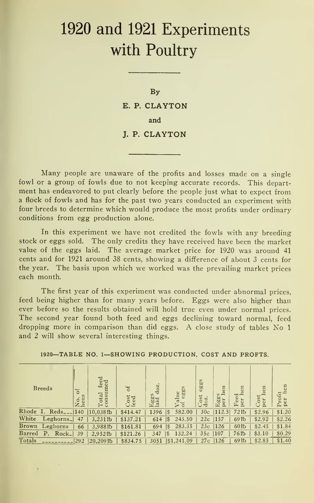## 1920 and 1921 Experiments with Poultry

By E. P. CLAYTON

and

J. P. CLAYTON

Many people are unaware of the profits and losses made on <sup>a</sup> single fowl or a group of fowls due to not keeping accurate records. This department has endeavored to put clearly before the people just what to expect from a flock of fowls and has for the past two years conducted an experiment with four breeds to determine which would produce the most profits under ordinary conditions from egg production alone.

In this experiment we have not credited the fowls with any breeding stock or eggs sold. The only credits they have received have been the market value of the eggs laid. The average market price for 1920 was around <sup>41</sup> cents and for 1921 around 38 cents, showing a difference of about <sup>3</sup> cents for the year. The basis upon which we worked was the prevailing market prices each month.

The first year of this experiment was conducted under abnormal prices, feed being higher than for many years before. Eggs were also higher than ever before so the results obtained will hold true even under normal prices. The second year found both feed and eggs declining toward normal, feed dropping more in comparison than did eggs. A close study of tables No <sup>1</sup> and 2 will show several interesting things.

| <b>Breeds</b>                     | ŏ<br>S<br>en<br>$\bullet$<br>Ó<br>ză | l'otal feed<br>consumed<br>$\vdash$ $\breve{\circ}$ | ð<br><b>b</b> est<br>Lē | doz.<br>$oc_{\overline{c}}$<br>$\frac{1}{1}a$<br>囗 | S<br>egg<br>ue<br>$\overline{a}$<br>> ö | eggs<br>.08t<br>ಸ | Ξ<br>d<br>$n -$<br>${\rm Eg}{\rm g}$<br>per | en<br>ستر<br>eed<br>per<br>匹 | en<br>$0$ st<br>۳<br>Ā | h<br>ro<br>per<br>д |
|-----------------------------------|--------------------------------------|-----------------------------------------------------|-------------------------|----------------------------------------------------|-----------------------------------------|-------------------|---------------------------------------------|------------------------------|------------------------|---------------------|
| Rhode I.<br>$Reds$ <sub>---</sub> | 140                                  | $10,038$ tb                                         | \$414.47                | 1396                                               | 582.00<br>1\$                           | 30 <sub>c</sub>   | 112.5                                       | 72 <sub>1b</sub>             | \$2.96                 | \$1.20              |
| White<br>Leghorns_                | 47                                   | $3,231$ tb                                          | \$137.21                | 614                                                | 243.50<br>$\sqrt{3}$                    | 22c               | 157                                         | 69 <sub>th</sub>             | \$2.92                 | \$2.26              |
| <b>Brown</b><br>Leghorns          | 66                                   | 3,988 <sub>lb</sub>                                 | \$161.81                | 694                                                | 283.35<br>1\$                           | 23c               | 126                                         | 60 <sub>th</sub>             | \$2.45                 | \$1.84              |
| Barred<br>Ρ.<br>Rock_             | 39                                   | $2.952$ tb                                          | \$121.26                | 347                                                | 132.24<br>$\sqrt{3}$                    | 35c               | 107                                         | 76 <sup>th</sup>             | \$3.10                 | \$0.29              |
| Totals                            | 292                                  | 20,209                                              | \$834.75                | 3051                                               | \$1,241.09                              | 27c               | 126                                         | 69 <sub>th</sub>             | \$2.85                 | \$1.40              |

1920—TABLE NO. 1—SHOWING PRODUCTION, COST AND PROFTS.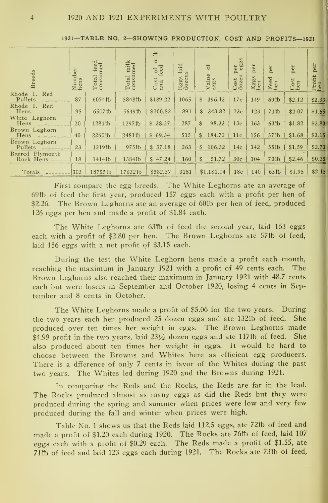| <b>Breeds</b>                | Number<br>hens | Total feed<br>consumed | Total milk<br>consumed | milk<br>feed<br>ð<br>$\frac{\text{Cost}}{\text{and}}$ | laid<br>s<br>Eggs<br>dozen: | 5<br>Value<br>eggs      | per<br>eggs<br>Cost<br>dozen | per<br>Eggs<br>hen | per<br><b>P</b> e<br>Fee <sup>l</sup> | per<br>$_{\rm{hen}}^{\rm{Cost}}$ | per<br>Profit<br>hen |
|------------------------------|----------------|------------------------|------------------------|-------------------------------------------------------|-----------------------------|-------------------------|------------------------------|--------------------|---------------------------------------|----------------------------------|----------------------|
| Rhode I.<br>Red<br>Pullets   | 87             | 6074fb                 | 5848fb                 | \$189.22                                              | 1065                        | 396.13<br>\$            | 17c                          | 149                | <b>69比</b>                            | \$2.12                           | \$2.33               |
| Rhode I. Red<br>Hens         | 95             | 6507 <sub>tb</sub>     | 5649协                  | \$200.82                                              | 891                         | 343.82<br>\$            | 23c                          | 123                | 71 <sub>1b</sub>                      | \$2.07                           | \$1.55               |
| White Leghorn<br>Hens        | 20             | 1281 <sub>th</sub>     | 1297tb                 | 38.57<br>\$                                           | 287                         | 98.33<br>$\mathfrak{L}$ | 13c                          | 163                | 63 <sub>Ib</sub>                      | \$1.82                           | \$2.80               |
| Brown Leghorn<br>Hens        | 40             | 2260tb                 | 2481fb                 | \$69.34                                               | 515                         | 184.72<br>\$            | 11c                          | 156                | 57 <sub>1b</sub>                      | \$1.68                           | \$3.15               |
| Brown Leghorn<br>Pullets     | 23             | 1219 <sub>th</sub>     | 975 <sub>tb</sub>      | \$37.18                                               | 263                         | 106.32<br>\$            | 14c                          | 142                | 55 <sub>Ib</sub>                      | \$1.59                           | \$2.73               |
| Barred Plymouth<br>Rock Hens | 18             | 1414th                 | 1384fb                 | \$47.24                                               | 160                         | 51.72<br>\$             | 30c                          | 104                | 73 <sub>1b</sub>                      | \$2.46                           | \$0.35               |
| Totals                       | 303            | 18755fb                | 17632tb                | \$582.37                                              | 3181                        | \$1,181.04              | 18 <sub>c</sub>              | 140                | 65 <sub>1b</sub>                      | \$1.95                           | \$2.15               |

1921—TABLE NO. 2—SHOWING PRODUCTION, COST AND PROFITS—<sup>1921</sup>

First compare the egg breeds. The White Leghorns ate an average of 69ft) of feed the first year, produced 157 eggs each with a profit per hen of \$2.26. The Brown Leghorns ate an average of 60th per hen of feed, produced 126 eggs per hen and made a profit of \$1.84 each.

The White Leghorns ate 63tb of feed the second year, laid 163 eggs each with a profit of \$2.80 per hen. The Brown Leghorns ate 57th of feed, laid 156 eggs with a net profit of \$3.15 each.

During the test the White Leghorn hens made a profit each month, reaching the maximum in January <sup>1921</sup> with <sup>a</sup> profit of 49 cents each. The Brown Leghorns also reached their maximum in January <sup>1921</sup> with 48.7 cents each but were losers in September and October 1920, losing 4 cents in September and 8 cents in October.

The White Leghorns made a profit of \$5.06 for the two years. During the two years each hen produced 25 dozen eggs and ate 132tb of feed. She produced over ten times her weight in eggs. The Brown Leghorns made \$4.99 profit in the two years, laid  $23\frac{1}{2}$  dozen eggs and ate 117fb of feed. She also produced about ten times her weight in eggs. It would be hard to choose between the Browns and Whites here as efficient egg producers. There is a dfference of only 7 cents in favor of the Whites during the past two years. The Whites led during 1920 and the Browns during 1921.

In comparing the Reds and the Rocks, the Reds are far in the lead. The Rocks produced almost as many eggs as did the Reds but they were produced during the spring and summer when prices were low and very few produced during the fall and winter when prices were high.

Table No. <sup>1</sup> shows us that the Reds laid 112.5 eggs, ate 72ft) of feed and made a profit of \$1.20 each during 1920. The Rocks ate 76th of feed, laid 107 eggs each with <sup>a</sup> profit of \$0.29 each. The Reds made <sup>a</sup> profit of \$1.55, ate 71th of feed and laid 123 eggs each during 1921. The Rocks ate 73th of feed,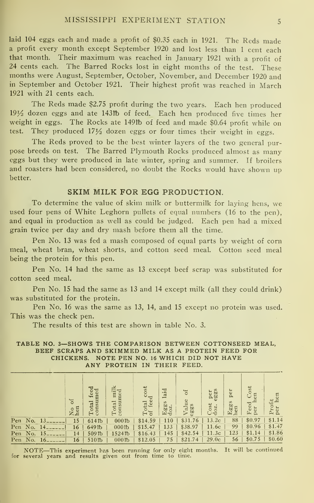laid 104 eggs each and made a profit of \$0.35 each in 1921. The Reds made <sup>a</sup> profit every month except September <sup>1920</sup> and lost less than <sup>1</sup> cent each that month. Their maximum was reached in January <sup>1921</sup> with <sup>a</sup> profit of <sup>24</sup> cents each. The Barred Rocks lost in eight months of the test. These months were August, September, October, November, and December <sup>1920</sup> and in September and October 1921. Their highest profit was reached in March 1921 with 21 cents each.

The Reds made \$2.75 profit during the two years. Each hen produced  $19\frac{1}{2}$  dozen eggs and ate 143tb of feed. Each hen produced five times her weight in eggs. The Rocks ate 149tb of feed and made \$0.64 profit while on test. They produced  $17\frac{1}{2}$  dozen eggs or four times their weight in eggs.

The Reds proved to be the best winter layers of the two general pur pose breeds on test. The Barred Plymouth Rocks produced almost as many eggs but they were produced in late winter, spring and summer. If broilers and roasters had been considered, no doubt the Rocks would have shown up better.

#### SKIM MILK FOR EGG PRODUCTION.

To determine the value of skim milk or buttermilk for laying hens, we used four pens of White Leghorn pullets of equal numbers (16 to the pen), and equal in production as well as could be judged. Each pen had a mixed grain twice per day and dry mash before them all the time.

Pen No. <sup>13</sup> was fed a mash composed of equal parts by weight of corn meal, wheat bran, wheat shorts, and cotton seed meal. Cotton seed meal being the protein for this pen.

Pen No. 14 had the same as <sup>13</sup> except beef scrap was substituted for cotton seed meal.

Pen No. 15 had the same as 13 and 14 except milk (all they could drink) was substituted for the protein.

Pen No. <sup>16</sup> was the same as 13, 14, and <sup>15</sup> except no protein was used. This was the check pen.

The results of this test are shown in table No. 3.

#### TABLE NO. 3—SHOWS THE COMPARISON BETWEEN COTTONSEED MEAL, BEEF SCRAPS AND SKIMMED MILK AS A PROTEIN FEED FOR CHICKENS. NOTE PEN NO. <sup>16</sup> WHICH DID NOT HAVE ANY PROTEIN IN THEIR FEED.

| Eggs<br>Eggs<br>Feed<br>ost<br>eggs<br>$\frac{\text{Cost}}{\text{doz}}$<br>$\frac{1}{102}$ |            |    | 6f | Total feed<br>consumed | ᆇ<br>Total mill | Total cost<br>of feed | laid | b<br>Value | per<br>eggs       | $\overline{\phantom{a}}$<br>$p$ e | Cost<br>en | Profit<br>per hen |
|--------------------------------------------------------------------------------------------|------------|----|----|------------------------|-----------------|-----------------------|------|------------|-------------------|-----------------------------------|------------|-------------------|
|                                                                                            | No.<br>Pen |    | 15 | 614 <sup>th</sup>      | $000$ tb        | \$14.59               |      | \$31.76    | 13.2c             | 88                                | \$0.97     | \$1.14            |
| hen<br>No<br>hen<br>per<br>110                                                             | No.<br>Pen |    | 16 | 649 lb                 | $000$ tb        | \$15.47               | 133  | \$38.97    | 11.6c             | 99                                |            |                   |
| \$1.47<br>\$0.96                                                                           | Pen<br>No. | 15 | 14 | 509 lb                 | $1524$ tb       | \$16.43               | 145  | \$42.54    | 11.3c             | 123                               | \$1.14     | \$1.86            |
|                                                                                            | No.<br>Pen | 16 | 16 | $510$ lb               | $000$ tb        | \$12.05               | 75   | \$21.74    | 29.0 <sub>c</sub> | 56                                | \$0.75     | \$0.60            |

NOTE—This experiment has been running for only eight months. It will be continued for several years and results given out from time to time.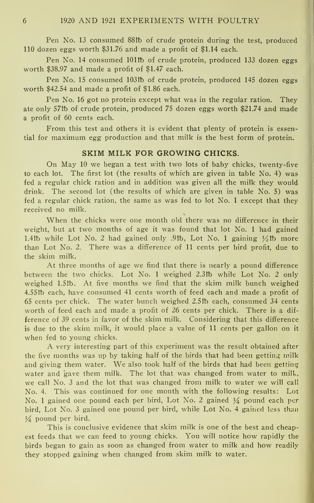Pen No. 13 consumed 88th of crude protein during the test, produced 110 dozen eggs worth \$31.76 and made a profit of \$1.14 each.

Pen No. 14 consumed 101tb of crude protein, produced 133 dozen eggs worth \$38.97 and made a profit of \$1.47 each.

Pen No. 15 consumed 103tb of crude protein, produced 145 dozen eggs worth \$42.54 and made a profit of \$1.86 each.

Pen No. 16 got no protein except what was in the regular ration. They ate only 57tb of crude protein, produced 75 dozen eggs worth \$21.74 and made a profit of 60 cents each.

From this test and others it is evident that plenty of protein is essential for maximum egg production and that milk isthe best form of protein.

#### SKIM MILK FOR GROWING CHICKS.

On May <sup>10</sup> we began <sup>a</sup> test with two lots of baby chicks, twenty-five to each lot. The first lot (the results of which are given in table No. 4) was fed a regular chick ration and in addition was given all the milk they would drink. The second lot (the results of which are given in table No. 5) was fed a regular chick ration, the same as was fed to lot No. <sup>1</sup> except that they received no milk.

When the chicks were one month old there was no difference in their weight, but at two months of age itwas found that lot No. <sup>1</sup> had gained 1.4tb while Lot No. 2 had gained only .9tb, Lot No. 1 gaining  $\frac{1}{2}$ tb more than Lot No. 2. There was a difference of <sup>11</sup> cents per bird profit, due to the skim milk.

At three months of age we find that there is nearly a pound difference between the two chicks. Lot No. <sup>1</sup> weighed 2.3tb while Lot No. 2 only weighed 1.51b. At five months we find that the skim milk bunch weighed 4.55tb each, have consumed 41 cents worth of feed each and made a profit of 65 cents per chick. The water bunch weighed 2.5ft) each, consumed 34 cents worth of feed each and made a profit of 26 cents per chick. There is a dif ference of 39 cents in favor of the skim milk. Considering that this difference is due to the skim milk, it would place a value of <sup>11</sup> cents per gallon on it when fed to young chicks.

A very interesting part of this experiment was the result obtained after the five months was up by taking half of the birds that had been getting milk and giving them water. We also took half of the birds that had been getting water and gave them milk. The lot that was changed from water to milk, we call No. <sup>3</sup> and the lot that was changed from milk to water we will cal! No. 4. This was continued for one month with the following results: Lot No. 1 gained one pound each per bird, Lot No. 2 gained  $\frac{1}{4}$  pound each per bird, Lot No. 3 gained one pound per bird, while Lot No. 4 gained less than  $\frac{1}{4}$  pound per bird.

This is conclusive evidence that skim milk is one of the best and cheapest feeds that we can feed to young chicks. You will notice how rapidly the birds began to gain as soon as changed from water to milk and how readily they stopped gaining when changed from skim milk to water.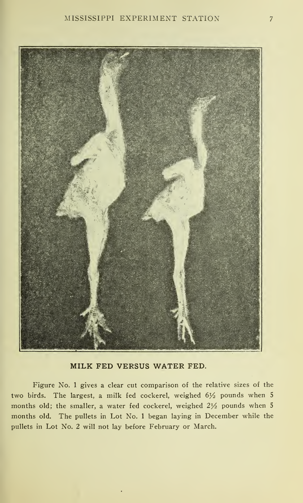

MILK FED VERSUS WATER FED.

Figure No. <sup>1</sup> gives a clear cut comparison of the relative sizes of the two birds. The largest, a milk fed cockerel, weighed  $6\frac{1}{2}$  pounds when 5 months old; the smaller, a water fed cockerel, weighed  $2\frac{1}{2}$  pounds when 5 months old. The pullets in Lot No. <sup>1</sup> began laying in December while the pullets in Lot No. 2 will not lay before February or March.